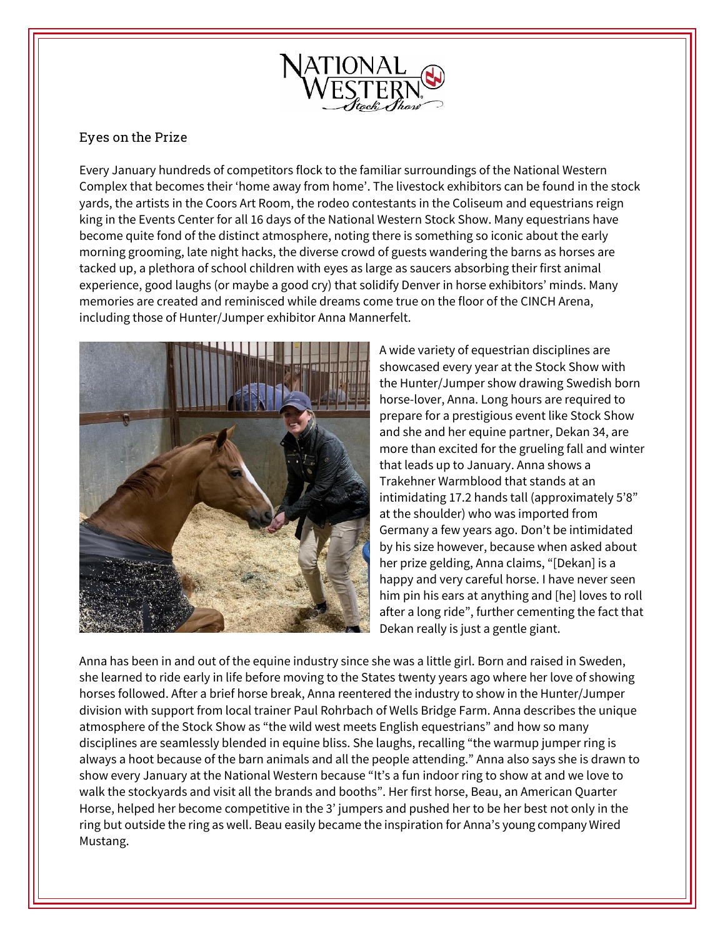

## Eyes on the Prize

Every January hundreds of competitors flock to the familiar surroundings of the National Western Complex that becomes their 'home away from home'. The livestock exhibitors can be found in the stock yards, the artists in the Coors Art Room, the rodeo contestants in the Coliseum and equestrians reign king in the Events Center for all 16 days of the National Western Stock Show. Many equestrians have become quite fond of the distinct atmosphere, noting there is something so iconic about the early morning grooming, late night hacks, the diverse crowd of guests wandering the barns as horses are tacked up, a plethora of school children with eyes as large as saucers absorbing their first animal experience, good laughs (or maybe a good cry) that solidify Denver in horse exhibitors' minds. Many memories are created and reminisced while dreams come true on the floor of the CINCH Arena, including those of Hunter/Jumper exhibitor Anna Mannerfelt.



A wide variety of equestrian disciplines are showcased every year at the Stock Show with the Hunter/Jumper show drawing Swedish born horse-lover, Anna. Long hours are required to prepare for a prestigious event like Stock Show and she and her equine partner, Dekan 34, are more than excited for the grueling fall and winter that leads up to January. Anna shows a Trakehner Warmblood that stands at an intimidating 17.2 hands tall (approximately 5'8" at the shoulder) who was imported from Germany a few years ago. Don't be intimidated by his size however, because when asked about her prize gelding, Anna claims, "[Dekan] is a happy and very careful horse. I have never seen him pin his ears at anything and [he] loves to roll after a long ride", further cementing the fact that Dekan really is just a gentle giant.

Anna has been in and out of the equine industry since she was a little girl. Born and raised in Sweden, she learned to ride early in life before moving to the States twenty years ago where her love of showing horses followed. After a brief horse break, Anna reentered the industry to show in the Hunter/Jumper division with support from local trainer Paul Rohrbach of Wells Bridge Farm. Anna describes the unique atmosphere of the Stock Show as "the wild west meets English equestrians" and how so many disciplines are seamlessly blended in equine bliss. She laughs, recalling "the warmup jumper ring is always a hoot because of the barn animals and all the people attending." Anna also says she is drawn to show every January at the National Western because "It's a fun indoor ring to show at and we love to walk the stockyards and visit all the brands and booths". Her first horse, Beau, an American Quarter Horse, helped her become competitive in the 3' jumpers and pushed her to be her best not only in the ring but outside the ring as well. Beau easily became the inspiration for Anna's young company Wired Mustang.